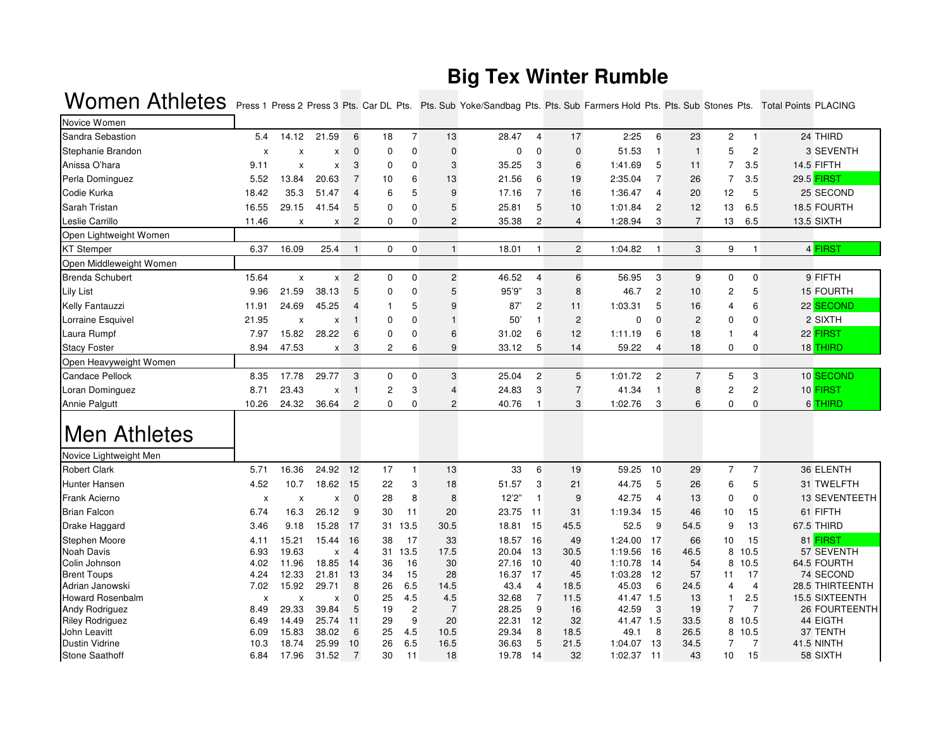## **Big Tex Winter Rumble**

| Novice Women                            |                           |                           |                    |                |          |                |                           |                |                |                |                       |                       |                |                         |                |                               |
|-----------------------------------------|---------------------------|---------------------------|--------------------|----------------|----------|----------------|---------------------------|----------------|----------------|----------------|-----------------------|-----------------------|----------------|-------------------------|----------------|-------------------------------|
| Sandra Sebastion                        | 5.4                       | 14.12                     | 21.59              | 6              | 18       | $\overline{7}$ | 13                        | 28.47          | 4              | 17             | 2:25                  | 6                     | 23             | 2                       | $\mathbf{1}$   | 24 THIRD                      |
| Stephanie Brandon                       | $\boldsymbol{\mathsf{x}}$ | X                         | X                  | $\Omega$       | 0        | $\mathbf 0$    | $\mathbf 0$               | $\mathbf 0$    | 0              | $\mathbf 0$    | 51.53                 | $\mathbf{1}$          | $\mathbf{1}$   | 5                       | $\overline{2}$ | 3 SEVENTH                     |
| Anissa O'hara                           | 9.11                      | X                         | X                  | 3              | 0        | $\mathbf 0$    | $\ensuremath{\mathsf{3}}$ | 35.25          | 3              | 6              | 1:41.69               | 5                     | 11             | $\overline{7}$          | 3.5            | 14.5 FIFTH                    |
| Perla Dominguez                         | 5.52                      | 13.84                     | 20.63              | $\overline{7}$ | 10       | 6              | 13                        | 21.56          | 6              | 19             | 2:35.04               | 7                     | 26             | $\overline{7}$          | 3.5            | 29.5 FIRST                    |
| Codie Kurka                             | 18.42                     | 35.3                      | 51.47              | $\overline{4}$ | 6        | 5              | 9                         | 17.16          | $\overline{7}$ | 16             | 1:36.47               | 4                     | 20             | 12                      | 5              | 25 SECOND                     |
| Sarah Tristan                           | 16.55                     | 29.15                     | 41.54              | 5              | 0        | $\mathbf 0$    | 5                         | 25.81          | 5              | 10             | 1:01.84               | $\overline{c}$        | 12             | 13                      | 6.5            | 18.5 FOURTH                   |
| Leslie Carrillo                         | 11.46                     | x                         | x                  | 2              | 0        | $\mathbf 0$    | 2                         | 35.38          | 2              | $\overline{4}$ | 1:28.94               | 3                     | $\overline{7}$ | 13                      | 6.5            | 13.5 SIXTH                    |
| Open Lightweight Women                  |                           |                           |                    |                |          |                |                           |                |                |                |                       |                       |                |                         |                |                               |
| <b>KT</b> Stemper                       | 6.37                      | 16.09                     | 25.4               | $\mathbf{1}$   | 0        | $\mathbf 0$    | $\overline{1}$            | 18.01          | $\mathbf{1}$   | $\overline{c}$ | 1:04.82               | 1                     | 3              | 9                       | -1             | 4 FIRST                       |
| Open Middleweight Women                 |                           |                           |                    |                |          |                |                           |                |                |                |                       |                       |                |                         |                |                               |
| <b>Brenda Schubert</b>                  | 15.64                     | $\pmb{\mathsf{x}}$        | $\pmb{\mathsf{X}}$ | $\overline{c}$ | 0        | $\mathbf 0$    | 2                         | 46.52          | $\overline{4}$ | 6              | 56.95                 | 3                     | 9              | $\mathbf 0$             | $\mathbf 0$    | 9 FIFTH                       |
| Lily List                               | 9.96                      | 21.59                     | 38.13              | 5              | 0        | $\mathbf 0$    | 5                         | 95'9"          | 3              | 8              | 46.7                  | $\overline{2}$        | 10             | $\overline{c}$          | 5              | <b>15 FOURTH</b>              |
| <b>Kelly Fantauzzi</b>                  | 11.91                     | 24.69                     | 45.25              | $\overline{4}$ |          | 5              | 9                         | 87'            | 2              | 11             | 1:03.31               | 5                     | 16             | $\overline{4}$          | 6              | 22 SECOND                     |
| Lorraine Esquivel                       | 21.95                     | X                         | X                  |                | 0        | $\mathbf 0$    | $\mathbf{1}$              | 50'            | -1             | $\overline{c}$ | 0                     | $\Omega$              | $\overline{c}$ | 0                       | $\mathbf{0}$   | 2 SIXTH                       |
| Laura Rumpf                             | 7.97                      | 15.82                     | 28.22              | 6              | 0        | $\mathbf 0$    | 6                         | 31.02          | 6              | 12             | 1:11.19               | 6                     | 18             | 1                       | $\overline{4}$ | 22 FIRST                      |
| <b>Stacy Foster</b>                     | 8.94                      | 47.53                     | X                  | 3              | 2        | 6              | 9                         | 33.12          | 5              | 14             | 59.22                 | $\boldsymbol{\Delta}$ | 18             | 0                       | 0              | 18 THIRD                      |
| Open Heavyweight Women                  |                           |                           |                    |                |          |                |                           |                |                |                |                       |                       |                |                         |                |                               |
| <b>Candace Pellock</b>                  | 8.35                      | 17.78                     | 29.77              | 3              | 0        | $\mathbf 0$    | 3                         | 25.04          | 2              | 5              | 1:01.72               | $\overline{c}$        | $\overline{7}$ | 5                       | 3              | 10 SECOND                     |
| Loran Dominguez                         | 8.71                      | 23.43                     | X                  |                | 2        | 3              | $\overline{4}$            | 24.83          | 3              | $\overline{7}$ | 41.34                 | 1                     | 8              | $\overline{\mathbf{c}}$ | $\overline{c}$ | 10 FIRST                      |
| Annie Palgutt                           | 10.26                     | 24.32                     | 36.64              | $\mathbf{2}$   | 0        | $\mathbf 0$    | 2                         | 40.76          | $\overline{1}$ | 3              | 1:02.76               | 3                     | 6              | 0                       | $\mathbf 0$    | 6 THIRD                       |
| Men Athletes                            |                           |                           |                    |                |          |                |                           |                |                |                |                       |                       |                |                         |                |                               |
| Novice Lightweight Men                  |                           |                           |                    |                |          |                |                           |                |                |                |                       |                       |                |                         |                |                               |
| <b>Robert Clark</b>                     | 5.71                      | 16.36                     | 24.92              | 12             | 17       | $\mathbf{1}$   | 13                        | 33             | 6              | 19             | 59.25                 | 10                    | 29             | $\overline{7}$          | $\overline{7}$ | 36 ELENTH                     |
| <b>Hunter Hansen</b>                    | 4.52                      | 10.7                      | 18.62              | 15             | 22       | 3              | 18                        | 51.57          | 3              | 21             | 44.75                 | 5                     | 26             | 6                       | 5              | 31 TWELFTH                    |
| Frank Acierno                           | X                         | $\boldsymbol{\mathsf{x}}$ | X                  | $\mathbf 0$    | 28       | 8              | 8                         | 12'2"          | $\overline{1}$ | 9              | 42.75                 | $\overline{4}$        | 13             | $\mathbf 0$             | $\mathbf 0$    | 13 SEVENTEETH                 |
| <b>Brian Falcon</b>                     | 6.74                      | 16.3                      | 26.12              | 9              | 30       | 11             | 20                        | 23.75          | 11             | 31             | 1:19.34               | 15                    | 46             | 10                      | 15             | 61 FIFTH                      |
| Drake Haggard                           | 3.46                      | 9.18                      | 15.28              | 17             | 31       | 13.5           | 30.5                      | 18.81          | 15             | 45.5           | 52.5                  | 9                     | 54.5           | 9                       | 13             | 67.5 THIRD                    |
| Stephen Moore                           | 4.11                      | 15.21                     | 15.44              | 16             | 38       | 17             | 33                        | 18.57          | 16             | 49             | 1:24.00               | 17                    | 66             | 10                      | 15             | 81 FIRST                      |
| <b>Noah Davis</b>                       | 6.93                      | 19.63                     | X                  | $\overline{4}$ | 31       | 13.5           | 17.5                      | 20.04          | 13             | 30.5           | 1:19.56               | 16                    | 46.5           | 8                       | 10.5           | 57 SEVENTH                    |
| Colin Johnson                           | 4.02                      | 11.96                     | 18.85              | 14             | 36       | 16             | 30                        | 27.16          | 10             | 40             | 1:10.78               | -14                   | 54             | 8                       | 10.5           | 64.5 FOURTH                   |
| <b>Brent Toups</b>                      | 4.24                      | 12.33                     | 21.81              | 13             | 34       | 15             | 28                        | 16.37          | 17             | 45             | 1:03.28               | 12                    | 57             | 11                      | 17             | 74 SECOND                     |
| Adrian Janowski                         | 7.02                      | 15.92                     | 29.71              | 8              | 26       | 6.5            | 14.5                      | 43.4           | 4              | 18.5           | 45.03                 | 6                     | 24.5           | $\overline{4}$          | $\overline{4}$ | 28.5 THIRTEENTH               |
| <b>Howard Rosenbalm</b>                 | X                         | X                         | X                  | $\mathbf{0}$   | 25       | 4.5            | 4.5                       | 32.68          | $\overline{7}$ | 11.5           | 41.47 1.5             |                       | 13             | $\mathbf{1}$            | 2.5            | <b>15.5 SIXTEENTH</b>         |
| Andy Rodriguez                          | 8.49                      | 29.33                     | 39.84              | 5              | 19       | $\overline{c}$ | $\overline{7}$            | 28.25          | 9              | 16             | 42.59                 | 3                     | 19             | $\overline{7}$          | $\overline{7}$ | <b>26 FOURTEENTH</b>          |
| <b>Riley Rodriguez</b>                  | 6.49                      | 14.49                     | 25.74              | 11             | 29       | 9<br>4.5       | 20                        | 22.31          | 12             | 32             | 41.47 1.5             |                       | 33.5           |                         | 8 10.5         | 44 EIGTH                      |
| John Leavitt                            | 6.09                      | 15.83                     | 38.02              | 6<br>10        | 25<br>26 | 6.5            | 10.5                      | 29.34          | 8<br>5         | 18.5           | 49.1                  | 8                     | 26.5           | 8                       | 10.5<br>7      | 37 TENTH                      |
| <b>Dustin Vidrine</b><br>Stone Saathoff | 10.3<br>6.84              | 18.74<br>17.96            | 25.99<br>31.52     | $\overline{7}$ | 30       | 11             | 16.5<br>18                | 36.63<br>19.78 | 14             | 21.5<br>32     | 1:04.07<br>1:02.37 11 | 13                    | 34.5<br>43     | 7<br>10                 | 15             | <b>41.5 NINTH</b><br>58 SIXTH |

## Women Athletes Press 1 Press 2 Press 3 Pts. Car DL Pts. Pts. Sub Yoke/Sandbag Pts. Pts. Sub Farmers Hold Pts. Pts. Sub Stones Pts. Total Points PLACING